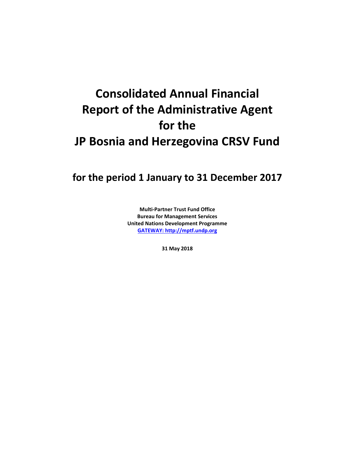# **Consolidated Annual Financial Report of the Administrative Agent for the JP Bosnia and Herzegovina CRSV Fund**

**for the period 1 January to 31 December 2017**

**Multi-Partner Trust Fund Office Bureau for Management Services United Nations Development Programme [GATEWAY: http://mptf.undp.org](http://mptf.undp.org/)**

**31 May 2018**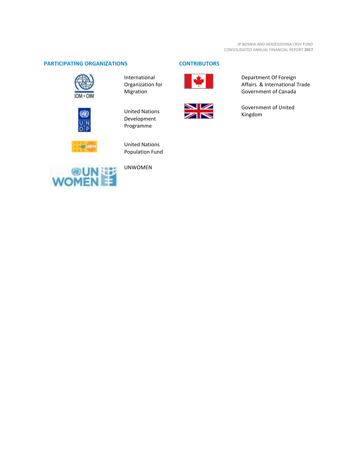# **PARTICIPATING ORGANIZATIONS CONTRIBUTORS**



International Organization for Migration



United Nations Development Programme



United Nations Population Fund



UNWOMEN





Department Of Foreign Affairs & International Trade Government of Canada

Government of United Kingdom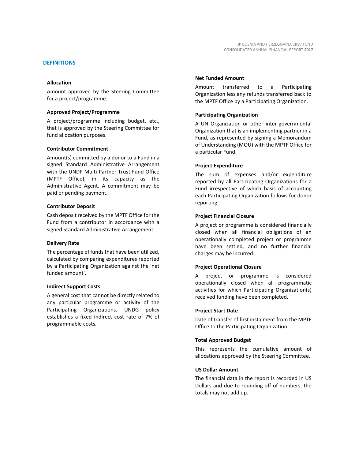#### **DEFINITIONS**

#### **Allocation**

Amount approved by the Steering Committee for a project/programme.

#### **Approved Project/Programme**

A project/programme including budget, etc., that is approved by the Steering Committee for fund allocation purposes.

#### **Contributor Commitment**

Amount(s) committed by a donor to a Fund in a signed Standard Administrative Arrangement with the UNDP Multi-Partner Trust Fund Office (MPTF Office), in its capacity as the Administrative Agent. A commitment may be paid or pending payment.

#### **Contributor Deposit**

Cash deposit received by the MPTF Office for the Fund from a contributor in accordance with a signed Standard Administrative Arrangement.

#### **Delivery Rate**

The percentage of funds that have been utilized, calculated by comparing expenditures reported by a Participating Organization against the 'net funded amount'.

#### **Indirect Support Costs**

A general cost that cannot be directly related to any particular programme or activity of the Participating Organizations. UNDG policy establishes a fixed indirect cost rate of 7% of programmable costs.

#### **Net Funded Amount**

Amount transferred to a Participating Organization less any refunds transferred back to the MPTF Office by a Participating Organization.

#### **Participating Organization**

A UN Organization or other inter-governmental Organization that is an implementing partner in a Fund, as represented by signing a Memorandum of Understanding (MOU) with the MPTF Office for a particular Fund.

#### **Project Expenditure**

The sum of expenses and/or expenditure reported by all Participating Organizations for a Fund irrespective of which basis of accounting each Participating Organization follows for donor reporting.

#### **Project Financial Closure**

A project or programme is considered financially closed when all financial obligations of an operationally completed project or programme have been settled, and no further financial charges may be incurred.

#### **Project Operational Closure**

A project or programme is considered operationally closed when all programmatic activities for which Participating Organization(s) received funding have been completed.

#### **Project Start Date**

Date of transfer of first instalment from the MPTF Office to the Participating Organization.

#### **Total Approved Budget**

This represents the cumulative amount of allocations approved by the Steering Committee.

#### **US Dollar Amount**

The financial data in the report is recorded in US Dollars and due to rounding off of numbers, the totals may not add up.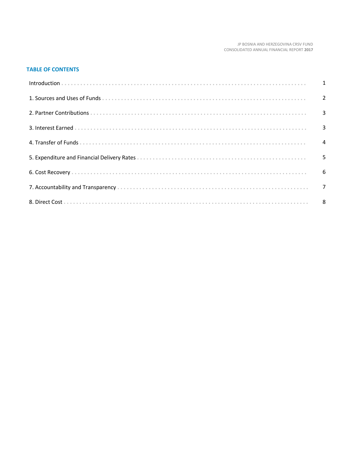#### JP BOSNIA AND HERZEGOVINA CRSV FUND CONSOLIDATED ANNUAL FINANCIAL REPORT 2017

# **TABLE OF CONTENTS**

| $Introduction \dots 1$ |  |
|------------------------|--|
|                        |  |
|                        |  |
|                        |  |
|                        |  |
|                        |  |
|                        |  |
|                        |  |
|                        |  |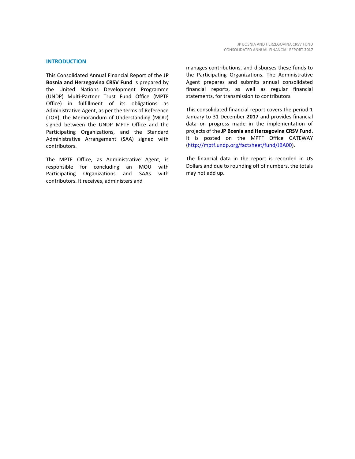#### **INTRODUCTION**

This Consolidated Annual Financial Report of the **JP Bosnia and Herzegovina CRSV Fund** is prepared by the United Nations Development Programme (UNDP) Multi-Partner Trust Fund Office (MPTF Office) in fulfillment of its obligations as Administrative Agent, as per the terms of Reference (TOR), the Memorandum of Understanding (MOU) signed between the UNDP MPTF Office and the Participating Organizations, and the Standard Administrative Arrangement (SAA) signed with contributors.

The MPTF Office, as Administrative Agent, is responsible for concluding an MOU with Participating Organizations and SAAs with contributors. It receives, administers and

manages contributions, and disburses these funds to the Participating Organizations. The Administrative Agent prepares and submits annual consolidated financial reports, as well as regular financial statements, for transmission to contributors.

This consolidated financial report covers the period 1 January to 31 December **2017** and provides financial data on progress made in the implementation of projects of the **JP Bosnia and Herzegovina CRSV Fund**. It is posted on the MPTF Office GATEWAY [\(http://mptf.undp.org/factsheet/fund/JBA00\)](http://mptf.undp.org/factsheet/fund/JBA00).

The financial data in the report is recorded in US Dollars and due to rounding off of numbers, the totals may not add up.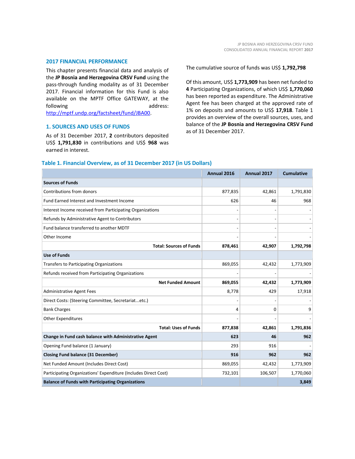#### **2017 FINANCIAL PERFORMANCE**

This chapter presents financial data and analysis of the **JP Bosnia and Herzegovina CRSV Fund** using the pass-through funding modality as of 31 December 2017. Financial information for this Fund is also available on the MPTF Office GATEWAY, at the following address: [http://mptf.undp.org/factsheet/fund/JBA00.](http://mptf.undp.org/factsheet/fund/JBA00)

**1. SOURCES AND USES OF FUNDS**

As of 31 December 2017, **2** contributors deposited US\$ **1,791,830** in contributions and US\$ **968** was earned in interest.

The cumulative source of funds was US\$ **1,792,798**

Of this amount, US\$ **1,773,909** has been net funded to **4** Participating Organizations, of which US\$ **1,770,060** has been reported as expenditure. The Administrative Agent fee has been charged at the approved rate of 1% on deposits and amounts to US\$ **17,918**. Table 1 provides an overview of the overall sources, uses, and balance of the **JP Bosnia and Herzegovina CRSV Fund** as of 31 December 2017.

### **Table 1. Financial Overview, as of 31 December 2017 (in US Dollars)**

|                                                                 | Annual 2016 | Annual 2017 | <b>Cumulative</b> |
|-----------------------------------------------------------------|-------------|-------------|-------------------|
| <b>Sources of Funds</b>                                         |             |             |                   |
| Contributions from donors                                       | 877,835     | 42,861      | 1,791,830         |
| Fund Earned Interest and Investment Income                      | 626         | 46          | 968               |
| Interest Income received from Participating Organizations       |             |             |                   |
| Refunds by Administrative Agent to Contributors                 |             |             |                   |
| Fund balance transferred to another MDTF                        |             |             |                   |
| Other Income                                                    |             |             |                   |
| <b>Total: Sources of Funds</b>                                  | 878,461     | 42,907      | 1,792,798         |
| <b>Use of Funds</b>                                             |             |             |                   |
| Transfers to Participating Organizations                        | 869,055     | 42,432      | 1,773,909         |
| Refunds received from Participating Organizations               |             |             |                   |
| <b>Net Funded Amount</b>                                        | 869,055     | 42,432      | 1,773,909         |
| <b>Administrative Agent Fees</b>                                | 8,778       | 429         | 17,918            |
| Direct Costs: (Steering Committee, Secretariatetc.)             |             |             |                   |
| <b>Bank Charges</b>                                             | 4           | 0           | q                 |
| <b>Other Expenditures</b>                                       |             |             |                   |
| <b>Total: Uses of Funds</b>                                     | 877,838     | 42,861      | 1,791,836         |
| Change in Fund cash balance with Administrative Agent           | 623         | 46          | 962               |
| Opening Fund balance (1 January)                                | 293         | 916         |                   |
| <b>Closing Fund balance (31 December)</b>                       | 916         | 962         | 962               |
| Net Funded Amount (Includes Direct Cost)                        | 869,055     | 42,432      | 1,773,909         |
| Participating Organizations' Expenditure (Includes Direct Cost) | 732,101     | 106,507     | 1,770,060         |
| <b>Balance of Funds with Participating Organizations</b>        |             |             | 3,849             |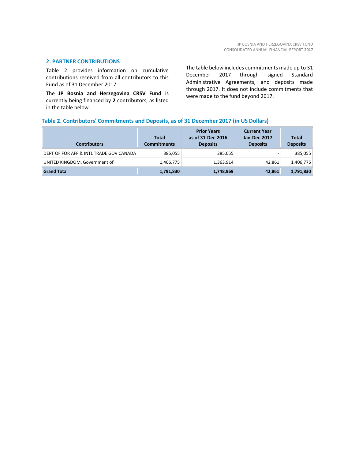# **2. PARTNER CONTRIBUTIONS**

Table 2 provides information on cumulative contributions received from all contributors to this Fund as of 31 December 2017.

The **JP Bosnia and Herzegovina CRSV Fund** is currently being financed by **2** contributors, as listed in the table below.

The table below includes commitments made up to 31 December 2017 through signed Standard Administrative Agreements, and deposits made through 2017. It does not include commitments that were made to the fund beyond 2017.

# **Table 2. Contributors' Commitments and Deposits, as of 31 December 2017 (in US Dollars)**

| <b>Contributors</b>                     | <b>Total</b><br><b>Commitments</b> | <b>Prior Years</b><br>as of 31-Dec-2016<br><b>Deposits</b> | <b>Current Year</b><br><b>Jan-Dec-2017</b><br><b>Deposits</b> | <b>Total</b><br><b>Deposits</b> |
|-----------------------------------------|------------------------------------|------------------------------------------------------------|---------------------------------------------------------------|---------------------------------|
| DEPT OF FOR AFF & INTL TRADE GOV CANADA | 385,055                            | 385,055                                                    |                                                               | 385,055                         |
| UNITED KINGDOM, Government of           | 1,406,775                          | 1,363,914                                                  | 42,861                                                        | 1,406,775                       |
| <b>Grand Total</b>                      | 1,791,830                          | 1,748,969                                                  | 42,861                                                        | 1,791,830                       |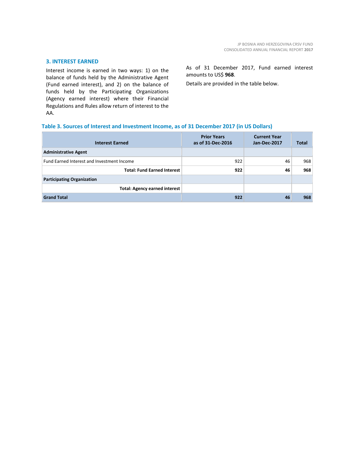# **3. INTEREST EARNED**

Interest income is earned in two ways: 1) on the balance of funds held by the Administrative Agent (Fund earned interest), and 2) on the balance of funds held by the Participating Organizations (Agency earned interest) where their Financial Regulations and Rules allow return of interest to the AA.

As of 31 December 2017, Fund earned interest amounts to US\$ **968**.

Details are provided in the table below.

#### **Table 3. Sources of Interest and Investment Income, as of 31 December 2017 (in US Dollars)**

| <b>Interest Earned</b>                     | <b>Prior Years</b><br>as of 31-Dec-2016 | <b>Current Year</b><br>Jan-Dec-2017 | <b>Total</b> |
|--------------------------------------------|-----------------------------------------|-------------------------------------|--------------|
| <b>Administrative Agent</b>                |                                         |                                     |              |
| Fund Earned Interest and Investment Income | 922                                     | 46                                  | 968          |
| <b>Total: Fund Earned Interest</b>         | 922                                     | 46                                  | 968          |
| <b>Participating Organization</b>          |                                         |                                     |              |
| <b>Total: Agency earned interest</b>       |                                         |                                     |              |
| <b>Grand Total</b>                         | 922                                     | 46                                  | 968          |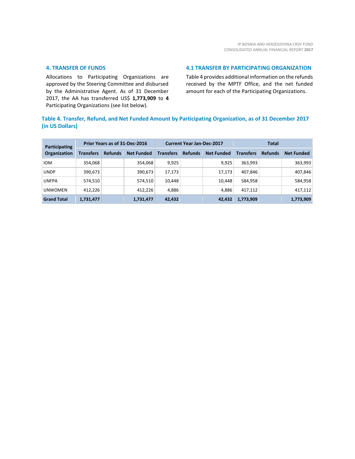# **4. TRANSFER OF FUNDS**

Allocations to Participating Organizations are approved by the Steering Committee and disbursed by the Administrative Agent. As of 31 December 2017, the AA has transferred US\$ **1,773,909** to **4** Participating Organizations (see list below).

# **4.1 TRANSFER BY PARTICIPATING ORGANIZATION**

Table 4 provides additional information on the refunds received by the MPTF Office, and the net funded amount for each of the Participating Organizations.

# **Table 4. Transfer, Refund, and Net Funded Amount by Participating Organization, as of 31 December 2017 (in US Dollars)**

| Participating       | Prior Years as of 31-Dec-2016 |                |                   | <b>Current Year Jan-Dec-2017</b> |                |                   | <b>Total</b>     |                |                   |
|---------------------|-------------------------------|----------------|-------------------|----------------------------------|----------------|-------------------|------------------|----------------|-------------------|
| <b>Organization</b> | Transfers                     | <b>Refunds</b> | <b>Net Funded</b> | <b>Transfers</b>                 | <b>Refunds</b> | <b>Net Funded</b> | <b>Transfers</b> | <b>Refunds</b> | <b>Net Funded</b> |
| <b>IOM</b>          | 354,068                       |                | 354,068           | 9,925                            |                | 9,925             | 363.993          |                | 363,993           |
| <b>UNDP</b>         | 390,673                       |                | 390,673           | 17,173                           |                | 17.173            | 407.846          |                | 407,846           |
| <b>UNFPA</b>        | 574,510                       |                | 574,510           | 10,448                           |                | 10.448            | 584,958          |                | 584,958           |
| <b>UNWOMEN</b>      | 412.226                       |                | 412,226           | 4,886                            |                | 4,886             | 417.112          |                | 417,112           |
| <b>Grand Total</b>  | 1,731,477                     |                | 1,731,477         | 42,432                           |                | 42,432            | 1,773,909        |                | 1,773,909         |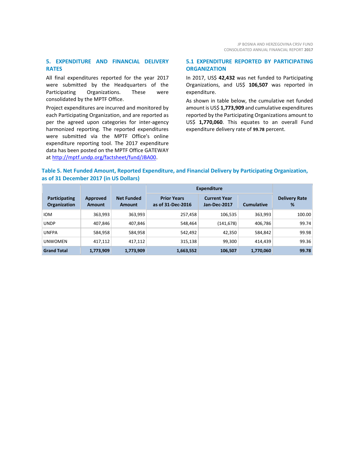# **5. EXPENDITURE AND FINANCIAL DELIVERY RATES**

All final expenditures reported for the year 2017 were submitted by the Headquarters of the Participating Organizations. These were consolidated by the MPTF Office.

Project expenditures are incurred and monitored by each Participating Organization, and are reported as per the agreed upon categories for inter-agency harmonized reporting. The reported expenditures were submitted via the MPTF Office's online expenditure reporting tool. The 2017 expenditure data has been posted on the MPTF Office GATEWAY at [http://mptf.undp.org/factsheet/fund/JBA00.](http://mptf.undp.org/factsheet/fund/JBA00) 

# **5.1 EXPENDITURE REPORTED BY PARTICIPATING ORGANIZATION**

In 2017, US\$ **42,432** was net funded to Participating Organizations, and US\$ **106,507** was reported in expenditure.

As shown in table below, the cumulative net funded amount is US\$ **1,773,909** and cumulative expenditures reported by the Participating Organizations amount to US\$ **1,770,060**. This equates to an overall Fund expenditure delivery rate of **99.78** percent.

# **Table 5. Net Funded Amount, Reported Expenditure, and Financial Delivery by Participating Organization, as of 31 December 2017 (in US Dollars)**

|                                      |                    |                                    | <b>Expenditure</b>                      |                                     |                   |                           |
|--------------------------------------|--------------------|------------------------------------|-----------------------------------------|-------------------------------------|-------------------|---------------------------|
| <b>Participating</b><br>Organization | Approved<br>Amount | <b>Net Funded</b><br><b>Amount</b> | <b>Prior Years</b><br>as of 31-Dec-2016 | <b>Current Year</b><br>Jan-Dec-2017 | <b>Cumulative</b> | <b>Delivery Rate</b><br>% |
| <b>IOM</b>                           | 363,993            | 363,993                            | 257,458                                 | 106,535                             | 363,993           | 100.00                    |
| <b>UNDP</b>                          | 407,846            | 407,846                            | 548,464                                 | (141, 678)                          | 406,786           | 99.74                     |
| <b>UNFPA</b>                         | 584,958            | 584,958                            | 542,492                                 | 42,350                              | 584,842           | 99.98                     |
| <b>UNWOMEN</b>                       | 417,112            | 417,112                            | 315,138                                 | 99,300                              | 414.439           | 99.36                     |
| <b>Grand Total</b>                   | 1,773,909          | 1,773,909                          | 1,663,552                               | 106,507                             | 1,770,060         | 99.78                     |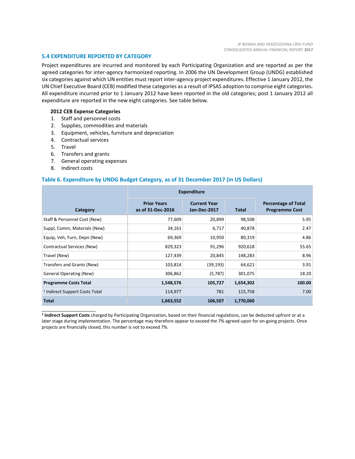#### **5.4 EXPENDITURE REPORTED BY CATEGORY**

Project expenditures are incurred and monitored by each Participating Organization and are reported as per the agreed categories for inter-agency harmonized reporting. In 2006 the UN Development Group (UNDG) established six categories against which UN entities must report inter-agency project expenditures. Effective 1 January 2012, the UN Chief Executive Board (CEB) modified these categories as a result of IPSAS adoption to comprise eight categories. All expenditure incurred prior to 1 January 2012 have been reported in the old categories; post 1 January 2012 all expenditure are reported in the new eight categories. See table below.

#### **2012 CEB Expense Categories**

- 1. Staff and personnel costs
- 2. Supplies, commodities and materials
- 3. Equipment, vehicles, furniture and depreciation
- 4. Contractual services
- 5. Travel
- 6. Transfers and grants
- 7. General operating expenses
- 8. Indirect costs

\_\_\_\_\_\_\_\_\_\_\_\_\_\_\_\_\_\_\_\_\_\_

#### **Table 6. Expenditure by UNDG Budget Category, as of 31 December 2017 (in US Dollars)**

|                                           | <b>Expenditure</b>                      |                                            |           |                                                     |
|-------------------------------------------|-----------------------------------------|--------------------------------------------|-----------|-----------------------------------------------------|
| Category                                  | <b>Prior Years</b><br>as of 31-Dec-2016 | <b>Current Year</b><br><b>Jan-Dec-2017</b> | Total     | <b>Percentage of Total</b><br><b>Programme Cost</b> |
| Staff & Personnel Cost (New)              | 77,609                                  | 20,899                                     | 98,508    | 5.95                                                |
| Suppl, Comm, Materials (New)              | 34,161                                  | 6,717                                      | 40,878    | 2.47                                                |
| Equip, Veh, Furn, Depn (New)              | 69,369                                  | 10,950                                     | 80,319    | 4.86                                                |
| Contractual Services (New)                | 829,323                                 | 91,296                                     | 920,618   | 55.65                                               |
| Travel (New)                              | 127,439                                 | 20,845                                     | 148,283   | 8.96                                                |
| Transfers and Grants (New)                | 103,814                                 | (39, 193)                                  | 64,621    | 3.91                                                |
| <b>General Operating (New)</b>            | 306,862                                 | (5,787)                                    | 301,075   | 18.20                                               |
| <b>Programme Costs Total</b>              | 1,548,576                               | 105,727                                    | 1,654,302 | 100.00                                              |
| <sup>1</sup> Indirect Support Costs Total | 114,977                                 | 781                                        | 115,758   | 7.00                                                |
| <b>Total</b>                              | 1,663,552                               | 106,507                                    | 1,770,060 |                                                     |

**1 Indirect Support Costs** charged by Participating Organization, based on their financial regulations, can be deducted upfront or at a later stage during implementation. The percentage may therefore appear to exceed the 7% agreed-upon for on-going projects. Once projects are financially closed, this number is not to exceed 7%.